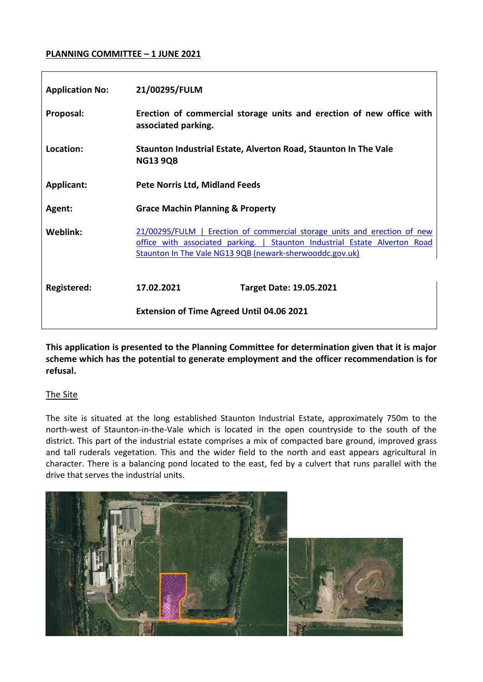#### **PLANNING COMMITTEE – 1 JUNE 2021**

| <b>Application No:</b> | 21/00295/FULM                                                                                                                                                                                                      |
|------------------------|--------------------------------------------------------------------------------------------------------------------------------------------------------------------------------------------------------------------|
| Proposal:              | Erection of commercial storage units and erection of new office with<br>associated parking.                                                                                                                        |
| Location:              | Staunton Industrial Estate, Alverton Road, Staunton In The Vale<br><b>NG13 9QB</b>                                                                                                                                 |
| <b>Applicant:</b>      | <b>Pete Norris Ltd, Midland Feeds</b>                                                                                                                                                                              |
| Agent:                 | <b>Grace Machin Planning &amp; Property</b>                                                                                                                                                                        |
| Weblink:               | 21/00295/FULM   Erection of commercial storage units and erection of new<br>office with associated parking.   Staunton Industrial Estate Alverton Road<br>Staunton In The Vale NG13 9QB (newark-sherwooddc.gov.uk) |
| Registered:            | 17.02.2021<br><b>Target Date: 19.05.2021</b>                                                                                                                                                                       |
|                        | <b>Extension of Time Agreed Until 04.06 2021</b>                                                                                                                                                                   |

**This application is presented to the Planning Committee for determination given that it is major scheme which has the potential to generate employment and the officer recommendation is for refusal.**

#### The Site

The site is situated at the long established Staunton Industrial Estate, approximately 750m to the north-west of Staunton-in-the-Vale which is located in the open countryside to the south of the district. This part of the industrial estate comprises a mix of compacted bare ground, improved grass and tall ruderals vegetation. This and the wider field to the north and east appears agricultural in character. There is a balancing pond located to the east, fed by a culvert that runs parallel with the drive that serves the industrial units.

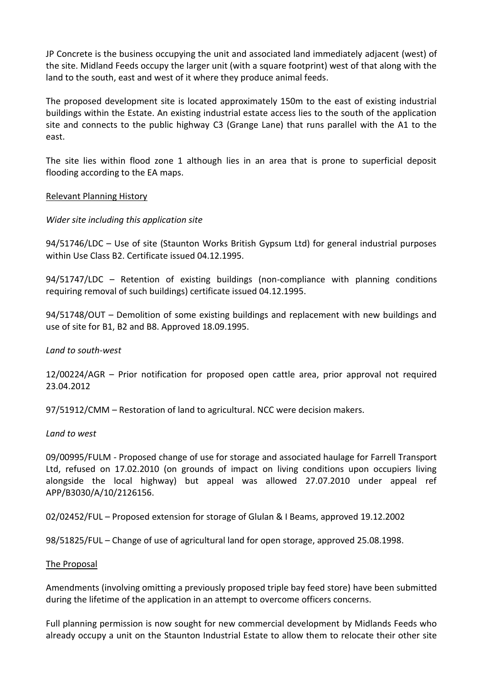JP Concrete is the business occupying the unit and associated land immediately adjacent (west) of the site. Midland Feeds occupy the larger unit (with a square footprint) west of that along with the land to the south, east and west of it where they produce animal feeds.

The proposed development site is located approximately 150m to the east of existing industrial buildings within the Estate. An existing industrial estate access lies to the south of the application site and connects to the public highway C3 (Grange Lane) that runs parallel with the A1 to the east.

The site lies within flood zone 1 although lies in an area that is prone to superficial deposit flooding according to the EA maps.

#### Relevant Planning History

#### *Wider site including this application site*

94/51746/LDC – Use of site (Staunton Works British Gypsum Ltd) for general industrial purposes within Use Class B2. Certificate issued 04.12.1995.

94/51747/LDC – Retention of existing buildings (non-compliance with planning conditions requiring removal of such buildings) certificate issued 04.12.1995.

94/51748/OUT – Demolition of some existing buildings and replacement with new buildings and use of site for B1, B2 and B8. Approved 18.09.1995.

#### *Land to south-west*

12/00224/AGR – Prior notification for proposed open cattle area, prior approval not required 23.04.2012

97/51912/CMM – Restoration of land to agricultural. NCC were decision makers.

#### *Land to west*

09/00995/FULM - Proposed change of use for storage and associated haulage for Farrell Transport Ltd, refused on 17.02.2010 (on grounds of impact on living conditions upon occupiers living alongside the local highway) but appeal was allowed 27.07.2010 under appeal ref APP/B3030/A/10/2126156.

02/02452/FUL – Proposed extension for storage of Glulan & I Beams, approved 19.12.2002

98/51825/FUL – Change of use of agricultural land for open storage, approved 25.08.1998.

#### The Proposal

Amendments (involving omitting a previously proposed triple bay feed store) have been submitted during the lifetime of the application in an attempt to overcome officers concerns.

Full planning permission is now sought for new commercial development by Midlands Feeds who already occupy a unit on the Staunton Industrial Estate to allow them to relocate their other site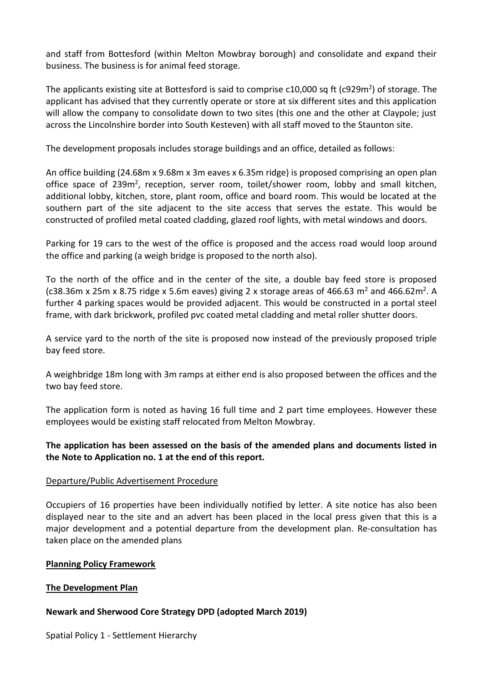and staff from Bottesford (within Melton Mowbray borough) and consolidate and expand their business. The business is for animal feed storage.

The applicants existing site at Bottesford is said to comprise  $c10,000$  sq ft (c929m<sup>2</sup>) of storage. The applicant has advised that they currently operate or store at six different sites and this application will allow the company to consolidate down to two sites (this one and the other at Claypole; just across the Lincolnshire border into South Kesteven) with all staff moved to the Staunton site.

The development proposals includes storage buildings and an office, detailed as follows:

An office building (24.68m x 9.68m x 3m eaves x 6.35m ridge) is proposed comprising an open plan office space of 239m<sup>2</sup>, reception, server room, toilet/shower room, lobby and small kitchen, additional lobby, kitchen, store, plant room, office and board room. This would be located at the southern part of the site adjacent to the site access that serves the estate. This would be constructed of profiled metal coated cladding, glazed roof lights, with metal windows and doors.

Parking for 19 cars to the west of the office is proposed and the access road would loop around the office and parking (a weigh bridge is proposed to the north also).

To the north of the office and in the center of the site, a double bay feed store is proposed (c38.36m x 25m x 8.75 ridge x 5.6m eaves) giving 2 x storage areas of 466.63 m<sup>2</sup> and 466.62m<sup>2</sup>. A further 4 parking spaces would be provided adjacent. This would be constructed in a portal steel frame, with dark brickwork, profiled pvc coated metal cladding and metal roller shutter doors.

A service yard to the north of the site is proposed now instead of the previously proposed triple bay feed store.

A weighbridge 18m long with 3m ramps at either end is also proposed between the offices and the two bay feed store.

The application form is noted as having 16 full time and 2 part time employees. However these employees would be existing staff relocated from Melton Mowbray.

### **The application has been assessed on the basis of the amended plans and documents listed in the Note to Application no. 1 at the end of this report.**

### Departure/Public Advertisement Procedure

Occupiers of 16 properties have been individually notified by letter. A site notice has also been displayed near to the site and an advert has been placed in the local press given that this is a major development and a potential departure from the development plan. Re-consultation has taken place on the amended plans

#### **Planning Policy Framework**

### **The Development Plan**

### **Newark and Sherwood Core Strategy DPD (adopted March 2019)**

Spatial Policy 1 - Settlement Hierarchy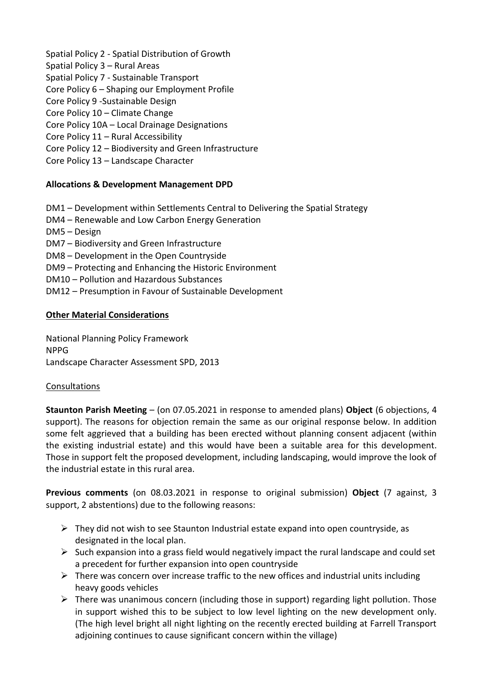Spatial Policy 2 - Spatial Distribution of Growth

- Spatial Policy 3 Rural Areas
- Spatial Policy 7 Sustainable Transport
- Core Policy 6 Shaping our Employment Profile
- Core Policy 9 -Sustainable Design
- Core Policy 10 Climate Change
- Core Policy 10A Local Drainage Designations
- Core Policy 11 Rural Accessibility
- Core Policy 12 Biodiversity and Green Infrastructure
- Core Policy 13 Landscape Character

## **Allocations & Development Management DPD**

- DM1 Development within Settlements Central to Delivering the Spatial Strategy
- DM4 Renewable and Low Carbon Energy Generation
- DM5 Design
- DM7 Biodiversity and Green Infrastructure
- DM8 Development in the Open Countryside
- DM9 Protecting and Enhancing the Historic Environment
- DM10 Pollution and Hazardous Substances
- DM12 Presumption in Favour of Sustainable Development

### **Other Material Considerations**

National Planning Policy Framework NPPG Landscape Character Assessment SPD, 2013

### Consultations

**Staunton Parish Meeting** – (on 07.05.2021 in response to amended plans) **Object** (6 objections, 4 support). The reasons for objection remain the same as our original response below. In addition some felt aggrieved that a building has been erected without planning consent adjacent (within the existing industrial estate) and this would have been a suitable area for this development. Those in support felt the proposed development, including landscaping, would improve the look of the industrial estate in this rural area.

**Previous comments** (on 08.03.2021 in response to original submission) **Object** (7 against, 3 support, 2 abstentions) due to the following reasons:

- $\triangleright$  They did not wish to see Staunton Industrial estate expand into open countryside, as designated in the local plan.
- $\triangleright$  Such expansion into a grass field would negatively impact the rural landscape and could set a precedent for further expansion into open countryside
- $\triangleright$  There was concern over increase traffic to the new offices and industrial units including heavy goods vehicles
- $\triangleright$  There was unanimous concern (including those in support) regarding light pollution. Those in support wished this to be subject to low level lighting on the new development only. (The high level bright all night lighting on the recently erected building at Farrell Transport adjoining continues to cause significant concern within the village)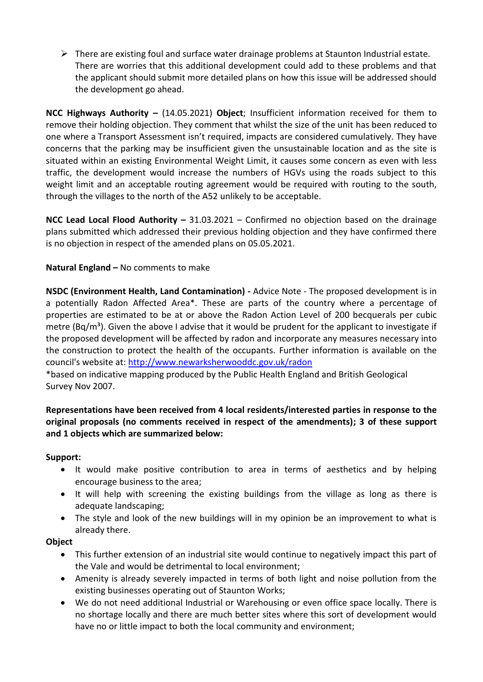$\triangleright$  There are existing foul and surface water drainage problems at Staunton Industrial estate. There are worries that this additional development could add to these problems and that the applicant should submit more detailed plans on how this issue will be addressed should the development go ahead.

**NCC Highways Authority –** (14.05.2021) **Object**; Insufficient information received for them to remove their holding objection. They comment that whilst the size of the unit has been reduced to one where a Transport Assessment isn't required, impacts are considered cumulatively. They have concerns that the parking may be insufficient given the unsustainable location and as the site is situated within an existing Environmental Weight Limit, it causes some concern as even with less traffic, the development would increase the numbers of HGVs using the roads subject to this weight limit and an acceptable routing agreement would be required with routing to the south, through the villages to the north of the A52 unlikely to be acceptable.

**NCC Lead Local Flood Authority –** 31.03.2021 – Confirmed no objection based on the drainage plans submitted which addressed their previous holding objection and they have confirmed there is no objection in respect of the amended plans on 05.05.2021.

## **Natural England –** No comments to make

**NSDC (Environment Health, Land Contamination) -** Advice Note - The proposed development is in a potentially Radon Affected Area\*. These are parts of the country where a percentage of properties are estimated to be at or above the Radon Action Level of 200 becquerals per cubic metre (Bq/m<sup>3</sup>). Given the above I advise that it would be prudent for the applicant to investigate if the proposed development will be affected by radon and incorporate any measures necessary into the construction to protect the health of the occupants. Further information is available on the council's website at:<http://www.newarksherwooddc.gov.uk/radon>

\*based on indicative mapping produced by the Public Health England and British Geological Survey Nov 2007.

## **Representations have been received from 4 local residents/interested parties in response to the original proposals (no comments received in respect of the amendments); 3 of these support and 1 objects which are summarized below:**

#### **Support:**

- It would make positive contribution to area in terms of aesthetics and by helping encourage business to the area;
- It will help with screening the existing buildings from the village as long as there is adequate landscaping;
- The style and look of the new buildings will in my opinion be an improvement to what is already there.

#### **Object**

- This further extension of an industrial site would continue to negatively impact this part of the Vale and would be detrimental to local environment;
- Amenity is already severely impacted in terms of both light and noise pollution from the existing businesses operating out of Staunton Works;
- We do not need additional Industrial or Warehousing or even office space locally. There is no shortage locally and there are much better sites where this sort of development would have no or little impact to both the local community and environment;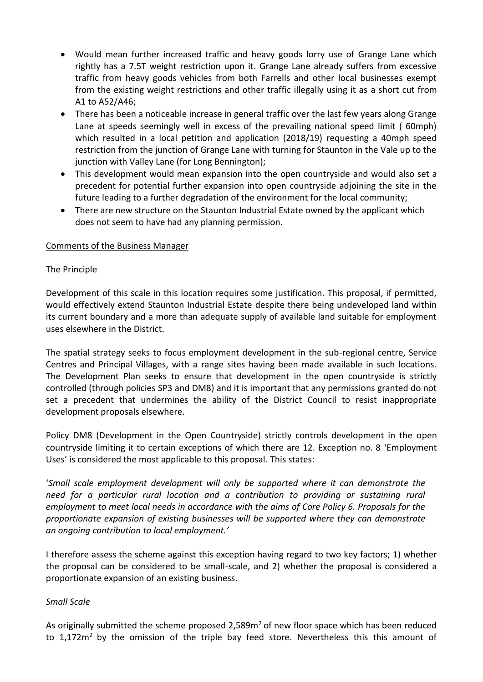- Would mean further increased traffic and heavy goods lorry use of Grange Lane which rightly has a 7.5T weight restriction upon it. Grange Lane already suffers from excessive traffic from heavy goods vehicles from both Farrells and other local businesses exempt from the existing weight restrictions and other traffic illegally using it as a short cut from A1 to A52/A46;
- There has been a noticeable increase in general traffic over the last few years along Grange Lane at speeds seemingly well in excess of the prevailing national speed limit ( 60mph) which resulted in a local petition and application (2018/19) requesting a 40mph speed restriction from the junction of Grange Lane with turning for Staunton in the Vale up to the junction with Valley Lane (for Long Bennington);
- This development would mean expansion into the open countryside and would also set a precedent for potential further expansion into open countryside adjoining the site in the future leading to a further degradation of the environment for the local community;
- There are new structure on the Staunton Industrial Estate owned by the applicant which does not seem to have had any planning permission.

#### Comments of the Business Manager

#### The Principle

Development of this scale in this location requires some justification. This proposal, if permitted, would effectively extend Staunton Industrial Estate despite there being undeveloped land within its current boundary and a more than adequate supply of available land suitable for employment uses elsewhere in the District.

The spatial strategy seeks to focus employment development in the sub-regional centre, Service Centres and Principal Villages, with a range sites having been made available in such locations. The Development Plan seeks to ensure that development in the open countryside is strictly controlled (through policies SP3 and DM8) and it is important that any permissions granted do not set a precedent that undermines the ability of the District Council to resist inappropriate development proposals elsewhere.

Policy DM8 (Development in the Open Countryside) strictly controls development in the open countryside limiting it to certain exceptions of which there are 12. Exception no. 8 'Employment Uses' is considered the most applicable to this proposal. This states:

'*Small scale employment development will only be supported where it can demonstrate the need for a particular rural location and a contribution to providing or sustaining rural employment to meet local needs in accordance with the aims of Core Policy 6. Proposals for the proportionate expansion of existing businesses will be supported where they can demonstrate an ongoing contribution to local employment.'*

I therefore assess the scheme against this exception having regard to two key factors; 1) whether the proposal can be considered to be small-scale, and 2) whether the proposal is considered a proportionate expansion of an existing business.

#### *Small Scale*

As originally submitted the scheme proposed 2,589 $m<sup>2</sup>$  of new floor space which has been reduced to 1,172m<sup>2</sup> by the omission of the triple bay feed store. Nevertheless this this amount of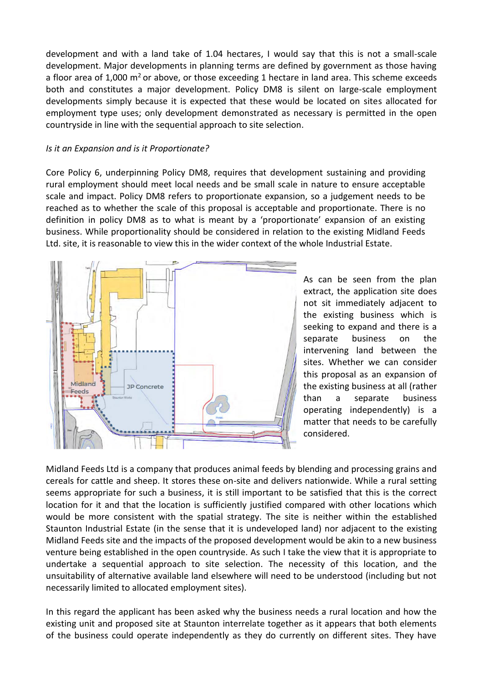development and with a land take of 1.04 hectares, I would say that this is not a small-scale development. Major developments in planning terms are defined by government as those having a floor area of 1,000  $m^2$  or above, or those exceeding 1 hectare in land area. This scheme exceeds both and constitutes a major development. Policy DM8 is silent on large-scale employment developments simply because it is expected that these would be located on sites allocated for employment type uses; only development demonstrated as necessary is permitted in the open countryside in line with the sequential approach to site selection.

#### *Is it an Expansion and is it Proportionate?*

Core Policy 6, underpinning Policy DM8, requires that development sustaining and providing rural employment should meet local needs and be small scale in nature to ensure acceptable scale and impact. Policy DM8 refers to proportionate expansion, so a judgement needs to be reached as to whether the scale of this proposal is acceptable and proportionate. There is no definition in policy DM8 as to what is meant by a 'proportionate' expansion of an existing business. While proportionality should be considered in relation to the existing Midland Feeds Ltd. site, it is reasonable to view this in the wider context of the whole Industrial Estate.



As can be seen from the plan extract, the application site does not sit immediately adjacent to the existing business which is seeking to expand and there is a separate business on the intervening land between the sites. Whether we can consider this proposal as an expansion of the existing business at all (rather than a separate business operating independently) is a matter that needs to be carefully considered.

Midland Feeds Ltd is a company that produces animal feeds by blending and processing grains and cereals for cattle and sheep. It stores these on-site and delivers nationwide. While a rural setting seems appropriate for such a business, it is still important to be satisfied that this is the correct location for it and that the location is sufficiently justified compared with other locations which would be more consistent with the spatial strategy. The site is neither within the established Staunton Industrial Estate (in the sense that it is undeveloped land) nor adjacent to the existing Midland Feeds site and the impacts of the proposed development would be akin to a new business venture being established in the open countryside. As such I take the view that it is appropriate to undertake a sequential approach to site selection. The necessity of this location, and the unsuitability of alternative available land elsewhere will need to be understood (including but not necessarily limited to allocated employment sites).

In this regard the applicant has been asked why the business needs a rural location and how the existing unit and proposed site at Staunton interrelate together as it appears that both elements of the business could operate independently as they do currently on different sites. They have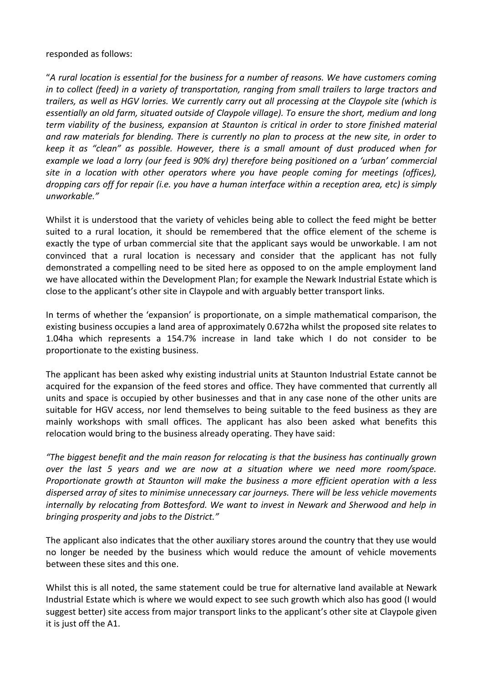#### responded as follows:

"*A rural location is essential for the business for a number of reasons. We have customers coming in to collect (feed) in a variety of transportation, ranging from small trailers to large tractors and trailers, as well as HGV lorries. We currently carry out all processing at the Claypole site (which is essentially an old farm, situated outside of Claypole village). To ensure the short, medium and long term viability of the business, expansion at Staunton is critical in order to store finished material and raw materials for blending. There is currently no plan to process at the new site, in order to keep it as "clean" as possible. However, there is a small amount of dust produced when for example we load a lorry (our feed is 90% dry) therefore being positioned on a 'urban' commercial site in a location with other operators where you have people coming for meetings (offices), dropping cars off for repair (i.e. you have a human interface within a reception area, etc) is simply unworkable."*

Whilst it is understood that the variety of vehicles being able to collect the feed might be better suited to a rural location, it should be remembered that the office element of the scheme is exactly the type of urban commercial site that the applicant says would be unworkable. I am not convinced that a rural location is necessary and consider that the applicant has not fully demonstrated a compelling need to be sited here as opposed to on the ample employment land we have allocated within the Development Plan; for example the Newark Industrial Estate which is close to the applicant's other site in Claypole and with arguably better transport links.

In terms of whether the 'expansion' is proportionate, on a simple mathematical comparison, the existing business occupies a land area of approximately 0.672ha whilst the proposed site relates to 1.04ha which represents a 154.7% increase in land take which I do not consider to be proportionate to the existing business.

The applicant has been asked why existing industrial units at Staunton Industrial Estate cannot be acquired for the expansion of the feed stores and office. They have commented that currently all units and space is occupied by other businesses and that in any case none of the other units are suitable for HGV access, nor lend themselves to being suitable to the feed business as they are mainly workshops with small offices. The applicant has also been asked what benefits this relocation would bring to the business already operating. They have said:

*"The biggest benefit and the main reason for relocating is that the business has continually grown over the last 5 years and we are now at a situation where we need more room/space. Proportionate growth at Staunton will make the business a more efficient operation with a less dispersed array of sites to minimise unnecessary car journeys. There will be less vehicle movements internally by relocating from Bottesford. We want to invest in Newark and Sherwood and help in bringing prosperity and jobs to the District."*

The applicant also indicates that the other auxiliary stores around the country that they use would no longer be needed by the business which would reduce the amount of vehicle movements between these sites and this one.

Whilst this is all noted, the same statement could be true for alternative land available at Newark Industrial Estate which is where we would expect to see such growth which also has good (I would suggest better) site access from major transport links to the applicant's other site at Claypole given it is just off the A1.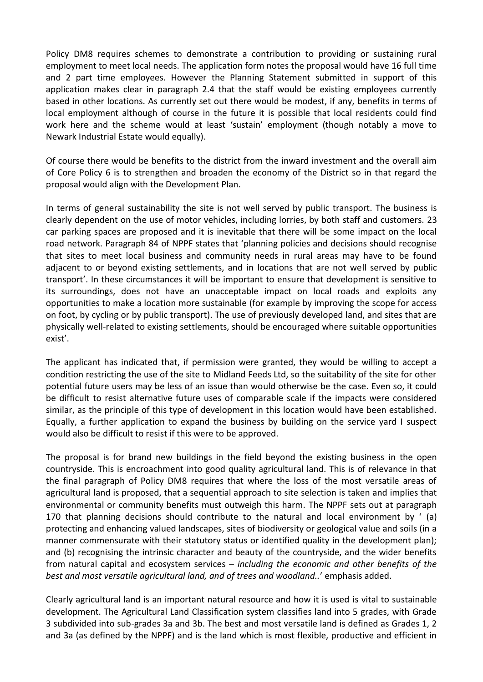Policy DM8 requires schemes to demonstrate a contribution to providing or sustaining rural employment to meet local needs. The application form notes the proposal would have 16 full time and 2 part time employees. However the Planning Statement submitted in support of this application makes clear in paragraph 2.4 that the staff would be existing employees currently based in other locations. As currently set out there would be modest, if any, benefits in terms of local employment although of course in the future it is possible that local residents could find work here and the scheme would at least 'sustain' employment (though notably a move to Newark Industrial Estate would equally).

Of course there would be benefits to the district from the inward investment and the overall aim of Core Policy 6 is to strengthen and broaden the economy of the District so in that regard the proposal would align with the Development Plan.

In terms of general sustainability the site is not well served by public transport. The business is clearly dependent on the use of motor vehicles, including lorries, by both staff and customers. 23 car parking spaces are proposed and it is inevitable that there will be some impact on the local road network. Paragraph 84 of NPPF states that 'planning policies and decisions should recognise that sites to meet local business and community needs in rural areas may have to be found adjacent to or beyond existing settlements, and in locations that are not well served by public transport'. In these circumstances it will be important to ensure that development is sensitive to its surroundings, does not have an unacceptable impact on local roads and exploits any opportunities to make a location more sustainable (for example by improving the scope for access on foot, by cycling or by public transport). The use of previously developed land, and sites that are physically well-related to existing settlements, should be encouraged where suitable opportunities exist'.

The applicant has indicated that, if permission were granted, they would be willing to accept a condition restricting the use of the site to Midland Feeds Ltd, so the suitability of the site for other potential future users may be less of an issue than would otherwise be the case. Even so, it could be difficult to resist alternative future uses of comparable scale if the impacts were considered similar, as the principle of this type of development in this location would have been established. Equally, a further application to expand the business by building on the service yard I suspect would also be difficult to resist if this were to be approved.

The proposal is for brand new buildings in the field beyond the existing business in the open countryside. This is encroachment into good quality agricultural land. This is of relevance in that the final paragraph of Policy DM8 requires that where the loss of the most versatile areas of agricultural land is proposed, that a sequential approach to site selection is taken and implies that environmental or community benefits must outweigh this harm. The NPPF sets out at paragraph 170 that planning decisions should contribute to the natural and local environment by ' (a) protecting and enhancing valued landscapes, sites of biodiversity or geological value and soils (in a manner commensurate with their statutory status or identified quality in the development plan); and (b) recognising the intrinsic character and beauty of the countryside, and the wider benefits from natural capital and ecosystem services – *including the economic and other benefits of the best and most versatile agricultural land, and of trees and woodland..*' emphasis added.

Clearly agricultural land is an important natural resource and how it is used is vital to sustainable development. The Agricultural Land Classification system classifies land into 5 grades, with Grade 3 subdivided into sub-grades 3a and 3b. The best and most versatile land is defined as Grades 1, 2 and 3a (as defined by the NPPF) and is the land which is most flexible, productive and efficient in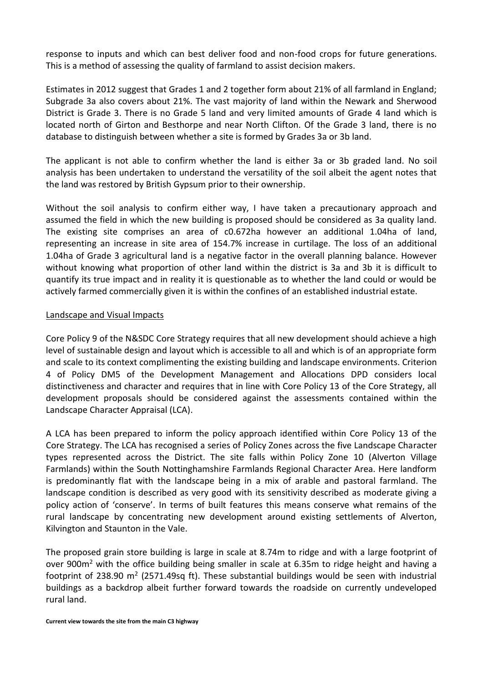response to inputs and which can best deliver food and non-food crops for future generations. This is a method of assessing the quality of farmland to assist decision makers.

Estimates in 2012 suggest that Grades 1 and 2 together form about 21% of all farmland in England; Subgrade 3a also covers about 21%. The vast majority of land within the Newark and Sherwood District is Grade 3. There is no Grade 5 land and very limited amounts of Grade 4 land which is located north of Girton and Besthorpe and near North Clifton. Of the Grade 3 land, there is no database to distinguish between whether a site is formed by Grades 3a or 3b land.

The applicant is not able to confirm whether the land is either 3a or 3b graded land. No soil analysis has been undertaken to understand the versatility of the soil albeit the agent notes that the land was restored by British Gypsum prior to their ownership.

Without the soil analysis to confirm either way, I have taken a precautionary approach and assumed the field in which the new building is proposed should be considered as 3a quality land. The existing site comprises an area of c0.672ha however an additional 1.04ha of land, representing an increase in site area of 154.7% increase in curtilage. The loss of an additional 1.04ha of Grade 3 agricultural land is a negative factor in the overall planning balance. However without knowing what proportion of other land within the district is 3a and 3b it is difficult to quantify its true impact and in reality it is questionable as to whether the land could or would be actively farmed commercially given it is within the confines of an established industrial estate.

#### Landscape and Visual Impacts

Core Policy 9 of the N&SDC Core Strategy requires that all new development should achieve a high level of sustainable design and layout which is accessible to all and which is of an appropriate form and scale to its context complimenting the existing building and landscape environments. Criterion 4 of Policy DM5 of the Development Management and Allocations DPD considers local distinctiveness and character and requires that in line with Core Policy 13 of the Core Strategy, all development proposals should be considered against the assessments contained within the Landscape Character Appraisal (LCA).

A LCA has been prepared to inform the policy approach identified within Core Policy 13 of the Core Strategy. The LCA has recognised a series of Policy Zones across the five Landscape Character types represented across the District. The site falls within Policy Zone 10 (Alverton Village Farmlands) within the South Nottinghamshire Farmlands Regional Character Area. Here landform is predominantly flat with the landscape being in a mix of arable and pastoral farmland. The landscape condition is described as very good with its sensitivity described as moderate giving a policy action of 'conserve'. In terms of built features this means conserve what remains of the rural landscape by concentrating new development around existing settlements of Alverton, Kilvington and Staunton in the Vale.

The proposed grain store building is large in scale at 8.74m to ridge and with a large footprint of over 900m<sup>2</sup> with the office building being smaller in scale at 6.35m to ridge height and having a footprint of 238.90 m<sup>2</sup> (2571.49sq ft). These substantial buildings would be seen with industrial buildings as a backdrop albeit further forward towards the roadside on currently undeveloped rural land.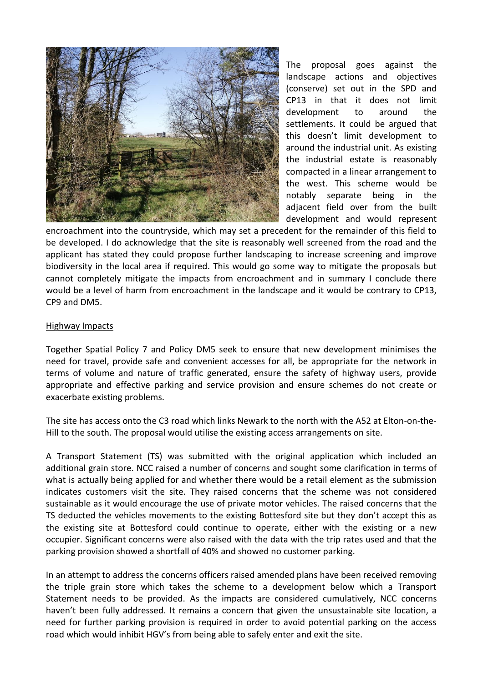

The proposal goes against the landscape actions and objectives (conserve) set out in the SPD and CP13 in that it does not limit development to around the settlements. It could be argued that this doesn't limit development to around the industrial unit. As existing the industrial estate is reasonably compacted in a linear arrangement to the west. This scheme would be notably separate being in the adjacent field over from the built development and would represent

encroachment into the countryside, which may set a precedent for the remainder of this field to be developed. I do acknowledge that the site is reasonably well screened from the road and the applicant has stated they could propose further landscaping to increase screening and improve biodiversity in the local area if required. This would go some way to mitigate the proposals but cannot completely mitigate the impacts from encroachment and in summary I conclude there would be a level of harm from encroachment in the landscape and it would be contrary to CP13, CP9 and DM5.

#### Highway Impacts

Together Spatial Policy 7 and Policy DM5 seek to ensure that new development minimises the need for travel, provide safe and convenient accesses for all, be appropriate for the network in terms of volume and nature of traffic generated, ensure the safety of highway users, provide appropriate and effective parking and service provision and ensure schemes do not create or exacerbate existing problems.

The site has access onto the C3 road which links Newark to the north with the A52 at Elton-on-the-Hill to the south. The proposal would utilise the existing access arrangements on site.

A Transport Statement (TS) was submitted with the original application which included an additional grain store. NCC raised a number of concerns and sought some clarification in terms of what is actually being applied for and whether there would be a retail element as the submission indicates customers visit the site. They raised concerns that the scheme was not considered sustainable as it would encourage the use of private motor vehicles. The raised concerns that the TS deducted the vehicles movements to the existing Bottesford site but they don't accept this as the existing site at Bottesford could continue to operate, either with the existing or a new occupier. Significant concerns were also raised with the data with the trip rates used and that the parking provision showed a shortfall of 40% and showed no customer parking.

In an attempt to address the concerns officers raised amended plans have been received removing the triple grain store which takes the scheme to a development below which a Transport Statement needs to be provided. As the impacts are considered cumulatively, NCC concerns haven't been fully addressed. It remains a concern that given the unsustainable site location, a need for further parking provision is required in order to avoid potential parking on the access road which would inhibit HGV's from being able to safely enter and exit the site.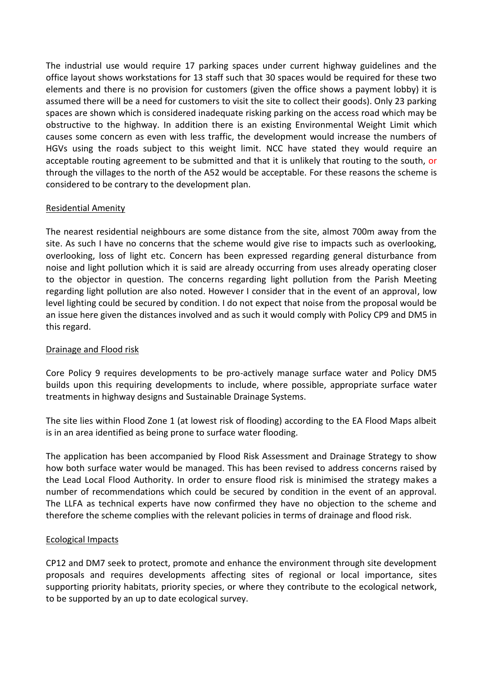The industrial use would require 17 parking spaces under current highway guidelines and the office layout shows workstations for 13 staff such that 30 spaces would be required for these two elements and there is no provision for customers (given the office shows a payment lobby) it is assumed there will be a need for customers to visit the site to collect their goods). Only 23 parking spaces are shown which is considered inadequate risking parking on the access road which may be obstructive to the highway. In addition there is an existing Environmental Weight Limit which causes some concern as even with less traffic, the development would increase the numbers of HGVs using the roads subject to this weight limit. NCC have stated they would require an acceptable routing agreement to be submitted and that it is unlikely that routing to the south, or through the villages to the north of the A52 would be acceptable. For these reasons the scheme is considered to be contrary to the development plan.

### Residential Amenity

The nearest residential neighbours are some distance from the site, almost 700m away from the site. As such I have no concerns that the scheme would give rise to impacts such as overlooking, overlooking, loss of light etc. Concern has been expressed regarding general disturbance from noise and light pollution which it is said are already occurring from uses already operating closer to the objector in question. The concerns regarding light pollution from the Parish Meeting regarding light pollution are also noted. However I consider that in the event of an approval, low level lighting could be secured by condition. I do not expect that noise from the proposal would be an issue here given the distances involved and as such it would comply with Policy CP9 and DM5 in this regard.

### Drainage and Flood risk

Core Policy 9 requires developments to be pro-actively manage surface water and Policy DM5 builds upon this requiring developments to include, where possible, appropriate surface water treatments in highway designs and Sustainable Drainage Systems.

The site lies within Flood Zone 1 (at lowest risk of flooding) according to the EA Flood Maps albeit is in an area identified as being prone to surface water flooding.

The application has been accompanied by Flood Risk Assessment and Drainage Strategy to show how both surface water would be managed. This has been revised to address concerns raised by the Lead Local Flood Authority. In order to ensure flood risk is minimised the strategy makes a number of recommendations which could be secured by condition in the event of an approval. The LLFA as technical experts have now confirmed they have no objection to the scheme and therefore the scheme complies with the relevant policies in terms of drainage and flood risk.

#### Ecological Impacts

CP12 and DM7 seek to protect, promote and enhance the environment through site development proposals and requires developments affecting sites of regional or local importance, sites supporting priority habitats, priority species, or where they contribute to the ecological network, to be supported by an up to date ecological survey.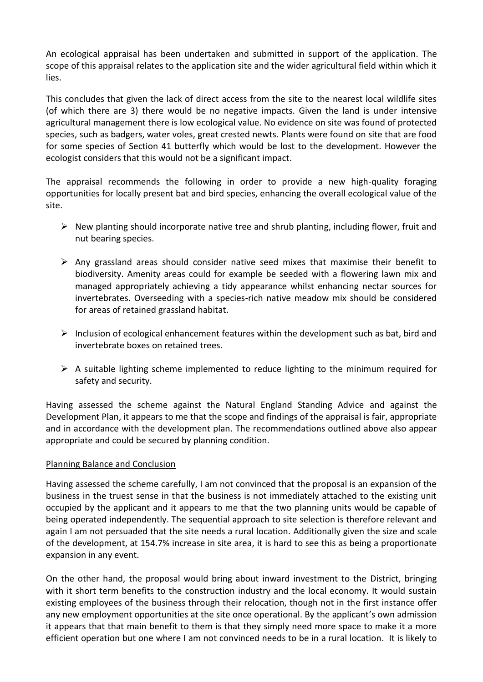An ecological appraisal has been undertaken and submitted in support of the application. The scope of this appraisal relates to the application site and the wider agricultural field within which it lies.

This concludes that given the lack of direct access from the site to the nearest local wildlife sites (of which there are 3) there would be no negative impacts. Given the land is under intensive agricultural management there is low ecological value. No evidence on site was found of protected species, such as badgers, water voles, great crested newts. Plants were found on site that are food for some species of Section 41 butterfly which would be lost to the development. However the ecologist considers that this would not be a significant impact.

The appraisal recommends the following in order to provide a new high-quality foraging opportunities for locally present bat and bird species, enhancing the overall ecological value of the site.

- $\triangleright$  New planting should incorporate native tree and shrub planting, including flower, fruit and nut bearing species.
- $\triangleright$  Any grassland areas should consider native seed mixes that maximise their benefit to biodiversity. Amenity areas could for example be seeded with a flowering lawn mix and managed appropriately achieving a tidy appearance whilst enhancing nectar sources for invertebrates. Overseeding with a species-rich native meadow mix should be considered for areas of retained grassland habitat.
- $\triangleright$  Inclusion of ecological enhancement features within the development such as bat, bird and invertebrate boxes on retained trees.
- $\triangleright$  A suitable lighting scheme implemented to reduce lighting to the minimum required for safety and security.

Having assessed the scheme against the Natural England Standing Advice and against the Development Plan, it appears to me that the scope and findings of the appraisal is fair, appropriate and in accordance with the development plan. The recommendations outlined above also appear appropriate and could be secured by planning condition.

### Planning Balance and Conclusion

Having assessed the scheme carefully, I am not convinced that the proposal is an expansion of the business in the truest sense in that the business is not immediately attached to the existing unit occupied by the applicant and it appears to me that the two planning units would be capable of being operated independently. The sequential approach to site selection is therefore relevant and again I am not persuaded that the site needs a rural location. Additionally given the size and scale of the development, at 154.7% increase in site area, it is hard to see this as being a proportionate expansion in any event.

On the other hand, the proposal would bring about inward investment to the District, bringing with it short term benefits to the construction industry and the local economy. It would sustain existing employees of the business through their relocation, though not in the first instance offer any new employment opportunities at the site once operational. By the applicant's own admission it appears that that main benefit to them is that they simply need more space to make it a more efficient operation but one where I am not convinced needs to be in a rural location. It is likely to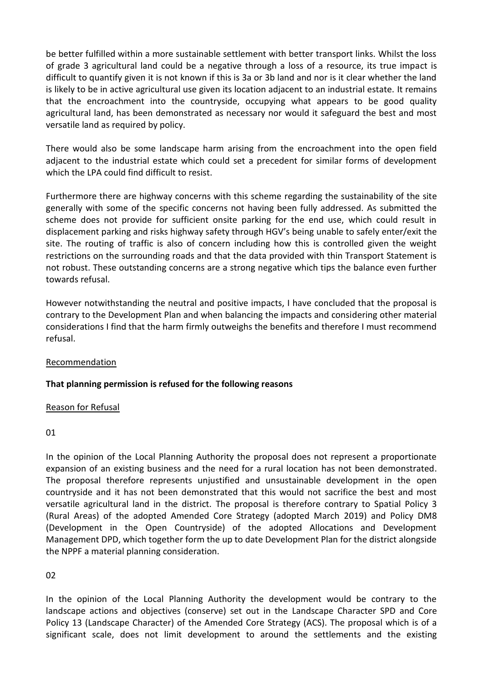be better fulfilled within a more sustainable settlement with better transport links. Whilst the loss of grade 3 agricultural land could be a negative through a loss of a resource, its true impact is difficult to quantify given it is not known if this is 3a or 3b land and nor is it clear whether the land is likely to be in active agricultural use given its location adjacent to an industrial estate. It remains that the encroachment into the countryside, occupying what appears to be good quality agricultural land, has been demonstrated as necessary nor would it safeguard the best and most versatile land as required by policy.

There would also be some landscape harm arising from the encroachment into the open field adjacent to the industrial estate which could set a precedent for similar forms of development which the LPA could find difficult to resist.

Furthermore there are highway concerns with this scheme regarding the sustainability of the site generally with some of the specific concerns not having been fully addressed. As submitted the scheme does not provide for sufficient onsite parking for the end use, which could result in displacement parking and risks highway safety through HGV's being unable to safely enter/exit the site. The routing of traffic is also of concern including how this is controlled given the weight restrictions on the surrounding roads and that the data provided with thin Transport Statement is not robust. These outstanding concerns are a strong negative which tips the balance even further towards refusal.

However notwithstanding the neutral and positive impacts, I have concluded that the proposal is contrary to the Development Plan and when balancing the impacts and considering other material considerations I find that the harm firmly outweighs the benefits and therefore I must recommend refusal.

#### Recommendation

### **That planning permission is refused for the following reasons**

#### Reason for Refusal

#### 01

In the opinion of the Local Planning Authority the proposal does not represent a proportionate expansion of an existing business and the need for a rural location has not been demonstrated. The proposal therefore represents unjustified and unsustainable development in the open countryside and it has not been demonstrated that this would not sacrifice the best and most versatile agricultural land in the district. The proposal is therefore contrary to Spatial Policy 3 (Rural Areas) of the adopted Amended Core Strategy (adopted March 2019) and Policy DM8 (Development in the Open Countryside) of the adopted Allocations and Development Management DPD, which together form the up to date Development Plan for the district alongside the NPPF a material planning consideration.

### $02$

In the opinion of the Local Planning Authority the development would be contrary to the landscape actions and objectives (conserve) set out in the Landscape Character SPD and Core Policy 13 (Landscape Character) of the Amended Core Strategy (ACS). The proposal which is of a significant scale, does not limit development to around the settlements and the existing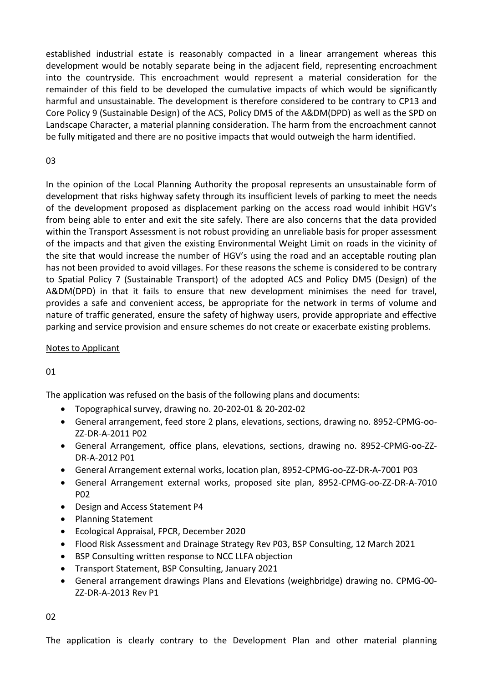established industrial estate is reasonably compacted in a linear arrangement whereas this development would be notably separate being in the adjacent field, representing encroachment into the countryside. This encroachment would represent a material consideration for the remainder of this field to be developed the cumulative impacts of which would be significantly harmful and unsustainable. The development is therefore considered to be contrary to CP13 and Core Policy 9 (Sustainable Design) of the ACS, Policy DM5 of the A&DM(DPD) as well as the SPD on Landscape Character, a material planning consideration. The harm from the encroachment cannot be fully mitigated and there are no positive impacts that would outweigh the harm identified.

## 03

In the opinion of the Local Planning Authority the proposal represents an unsustainable form of development that risks highway safety through its insufficient levels of parking to meet the needs of the development proposed as displacement parking on the access road would inhibit HGV's from being able to enter and exit the site safely. There are also concerns that the data provided within the Transport Assessment is not robust providing an unreliable basis for proper assessment of the impacts and that given the existing Environmental Weight Limit on roads in the vicinity of the site that would increase the number of HGV's using the road and an acceptable routing plan has not been provided to avoid villages. For these reasons the scheme is considered to be contrary to Spatial Policy 7 (Sustainable Transport) of the adopted ACS and Policy DM5 (Design) of the A&DM(DPD) in that it fails to ensure that new development minimises the need for travel, provides a safe and convenient access, be appropriate for the network in terms of volume and nature of traffic generated, ensure the safety of highway users, provide appropriate and effective parking and service provision and ensure schemes do not create or exacerbate existing problems.

### Notes to Applicant

# 01

The application was refused on the basis of the following plans and documents:

- Topographical survey, drawing no. 20-202-01 & 20-202-02
- General arrangement, feed store 2 plans, elevations, sections, drawing no. 8952-CPMG-oo-ZZ-DR-A-2011 P02
- General Arrangement, office plans, elevations, sections, drawing no. 8952-CPMG-oo-ZZ-DR-A-2012 P01
- General Arrangement external works, location plan, 8952-CPMG-oo-ZZ-DR-A-7001 P03
- General Arrangement external works, proposed site plan, 8952-CPMG-oo-ZZ-DR-A-7010 P02
- Design and Access Statement P4
- Planning Statement
- Ecological Appraisal, FPCR, December 2020
- Flood Risk Assessment and Drainage Strategy Rev P03, BSP Consulting, 12 March 2021
- BSP Consulting written response to NCC LLFA objection
- Transport Statement, BSP Consulting, January 2021
- General arrangement drawings Plans and Elevations (weighbridge) drawing no. CPMG-00- ZZ-DR-A-2013 Rev P1

02

The application is clearly contrary to the Development Plan and other material planning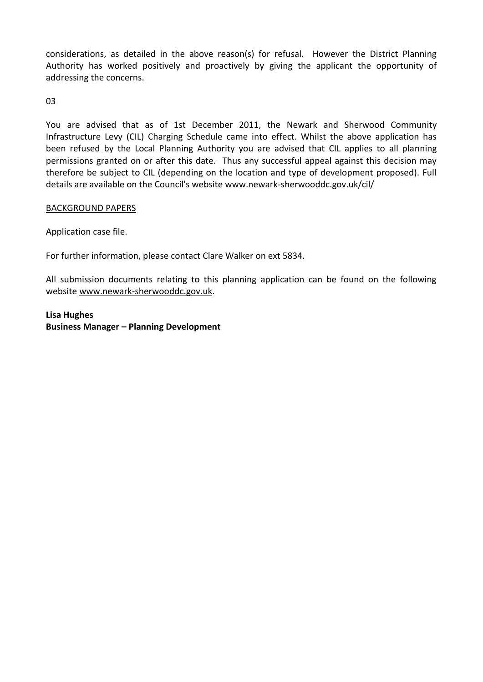considerations, as detailed in the above reason(s) for refusal. However the District Planning Authority has worked positively and proactively by giving the applicant the opportunity of addressing the concerns.

03

You are advised that as of 1st December 2011, the Newark and Sherwood Community Infrastructure Levy (CIL) Charging Schedule came into effect. Whilst the above application has been refused by the Local Planning Authority you are advised that CIL applies to all planning permissions granted on or after this date. Thus any successful appeal against this decision may therefore be subject to CIL (depending on the location and type of development proposed). Full details are available on the Council's website www.newark-sherwooddc.gov.uk/cil/

### BACKGROUND PAPERS

Application case file.

For further information, please contact Clare Walker on ext 5834.

All submission documents relating to this planning application can be found on the following websit[e www.newark-sherwooddc.gov.uk.](http://www.newark-sherwooddc.gov.uk/)

### **Lisa Hughes Business Manager – Planning Development**